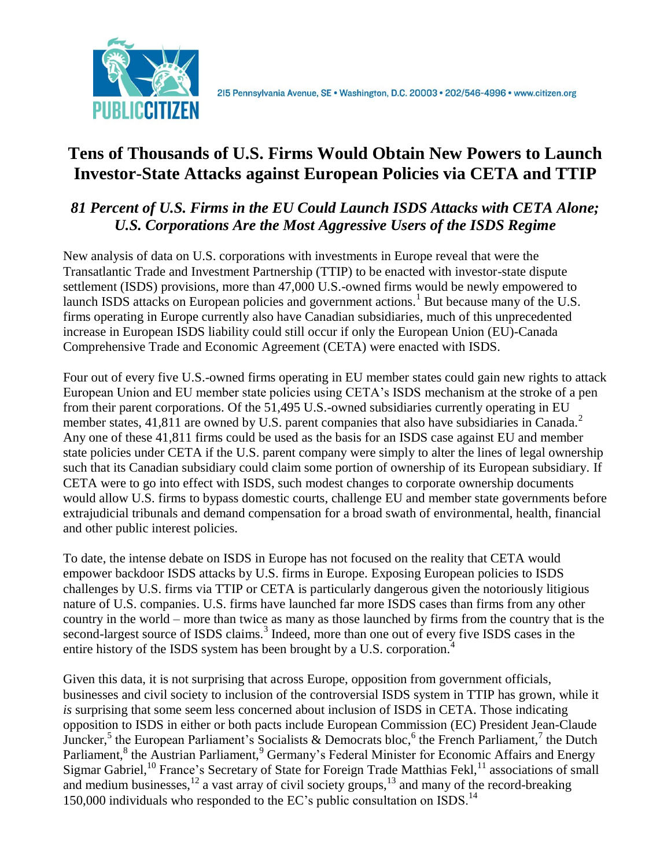

# **Tens of Thousands of U.S. Firms Would Obtain New Powers to Launch Investor-State Attacks against European Policies via CETA and TTIP**

# *81 Percent of U.S. Firms in the EU Could Launch ISDS Attacks with CETA Alone; U.S. Corporations Are the Most Aggressive Users of the ISDS Regime*

New analysis of data on U.S. corporations with investments in Europe reveal that were the Transatlantic Trade and Investment Partnership (TTIP) to be enacted with investor-state dispute settlement (ISDS) provisions, more than 47,000 U.S.-owned firms would be newly empowered to launch ISDS attacks on European policies and government actions.<sup>1</sup> But because many of the U.S. firms operating in Europe currently also have Canadian subsidiaries, much of this unprecedented increase in European ISDS liability could still occur if only the European Union (EU)-Canada Comprehensive Trade and Economic Agreement (CETA) were enacted with ISDS.

Four out of every five U.S.-owned firms operating in EU member states could gain new rights to attack European Union and EU member state policies using CETA's ISDS mechanism at the stroke of a pen from their parent corporations. Of the 51,495 U.S.-owned subsidiaries currently operating in EU member states, 41,811 are owned by U.S. parent companies that also have subsidiaries in Canada.<sup>2</sup> Any one of these 41,811 firms could be used as the basis for an ISDS case against EU and member state policies under CETA if the U.S. parent company were simply to alter the lines of legal ownership such that its Canadian subsidiary could claim some portion of ownership of its European subsidiary. If CETA were to go into effect with ISDS, such modest changes to corporate ownership documents would allow U.S. firms to bypass domestic courts, challenge EU and member state governments before extrajudicial tribunals and demand compensation for a broad swath of environmental, health, financial and other public interest policies.

To date, the intense debate on ISDS in Europe has not focused on the reality that CETA would empower backdoor ISDS attacks by U.S. firms in Europe. Exposing European policies to ISDS challenges by U.S. firms via TTIP or CETA is particularly dangerous given the notoriously litigious nature of U.S. companies. U.S. firms have launched far more ISDS cases than firms from any other country in the world – more than twice as many as those launched by firms from the country that is the second-largest source of ISDS claims.<sup>3</sup> Indeed, more than one out of every five ISDS cases in the entire history of the ISDS system has been brought by a U.S. corporation.<sup>4</sup>

Given this data, it is not surprising that across Europe, opposition from government officials, businesses and civil society to inclusion of the controversial ISDS system in TTIP has grown, while it *is* surprising that some seem less concerned about inclusion of ISDS in CETA. Those indicating opposition to ISDS in either or both pacts include European Commission (EC) President Jean-Claude Juncker,<sup>5</sup> the European Parliament's Socialists & Democrats bloc,<sup>6</sup> the French Parliament,<sup>7</sup> the Dutch Parliament,<sup>8</sup> the Austrian Parliament,<sup>9</sup> Germany's Federal Minister for Economic Affairs and Energy Sigmar Gabriel,<sup>10</sup> France's Secretary of State for Foreign Trade Matthias Fekl,<sup>11</sup> associations of small and medium businesses,<sup>12</sup> a vast array of civil society groups,<sup>13</sup> and many of the record-breaking 150,000 individuals who responded to the EC's public consultation on ISDS.<sup>14</sup>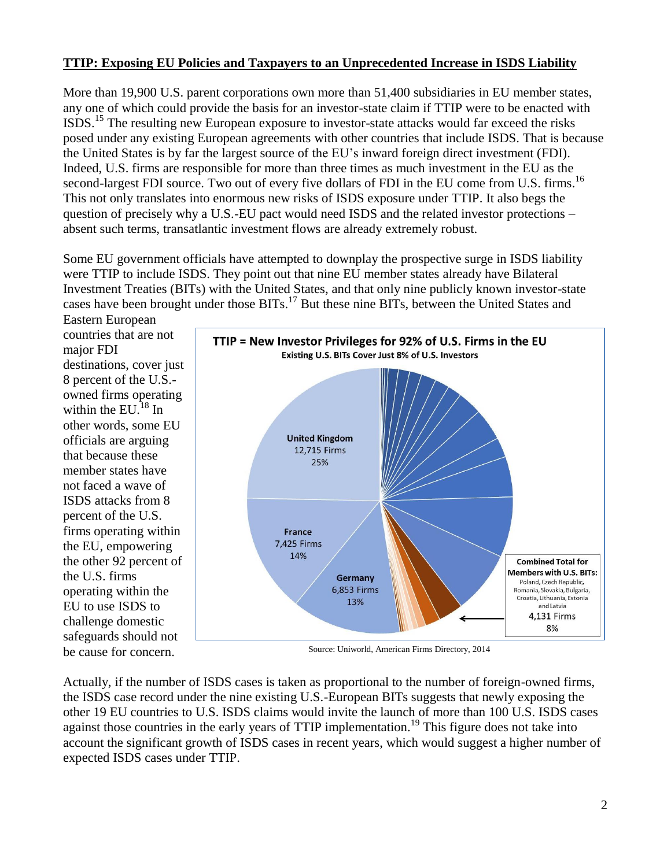## **TTIP: Exposing EU Policies and Taxpayers to an Unprecedented Increase in ISDS Liability**

More than 19,900 U.S. parent corporations own more than 51,400 subsidiaries in EU member states, any one of which could provide the basis for an investor-state claim if TTIP were to be enacted with ISDS.<sup>15</sup> The resulting new European exposure to investor-state attacks would far exceed the risks posed under any existing European agreements with other countries that include ISDS. That is because the United States is by far the largest source of the EU's inward foreign direct investment (FDI). Indeed, U.S. firms are responsible for more than three times as much investment in the EU as the second-largest FDI source. Two out of every five dollars of FDI in the EU come from U.S. firms.<sup>16</sup> This not only translates into enormous new risks of ISDS exposure under TTIP. It also begs the question of precisely why a U.S.-EU pact would need ISDS and the related investor protections – absent such terms, transatlantic investment flows are already extremely robust.

Some EU government officials have attempted to downplay the prospective surge in ISDS liability were TTIP to include ISDS. They point out that nine EU member states already have Bilateral Investment Treaties (BITs) with the United States, and that only nine publicly known investor-state cases have been brought under those BITs.<sup>17</sup> But these nine BITs, between the United States and Eastern European

countries that are not major FDI destinations, cover just 8 percent of the U.S. owned firms operating within the  $EU<sup>18</sup>$  In other words, some EU officials are arguing that because these member states have not faced a wave of ISDS attacks from 8 percent of the U.S. firms operating within the EU, empowering the other 92 percent of the U.S. firms operating within the EU to use ISDS to challenge domestic safeguards should not be cause for concern.



Source: Uniworld, American Firms Directory, 2014

Actually, if the number of ISDS cases is taken as proportional to the number of foreign-owned firms, the ISDS case record under the nine existing U.S.-European BITs suggests that newly exposing the other 19 EU countries to U.S. ISDS claims would invite the launch of more than 100 U.S. ISDS cases against those countries in the early years of TTIP implementation.<sup>19</sup> This figure does not take into account the significant growth of ISDS cases in recent years, which would suggest a higher number of expected ISDS cases under TTIP.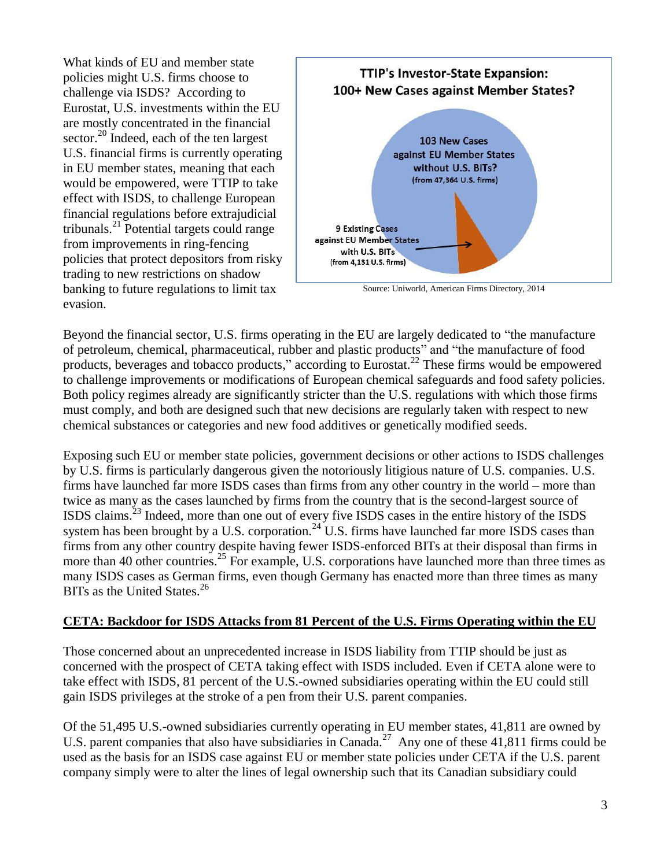What kinds of EU and member state policies might U.S. firms choose to challenge via ISDS? According to Eurostat, U.S. investments within the EU are mostly concentrated in the financial sector.<sup>20</sup> Indeed, each of the ten largest U.S. financial firms is currently operating in EU member states, meaning that each would be empowered, were TTIP to take effect with ISDS, to challenge European financial regulations before extrajudicial tribunals. <sup>21</sup> Potential targets could range from improvements in ring-fencing policies that protect depositors from risky trading to new restrictions on shadow banking to future regulations to limit tax evasion.



Source: Uniworld, American Firms Directory, 2014

Beyond the financial sector, U.S. firms operating in the EU are largely dedicated to "the manufacture of petroleum, chemical, pharmaceutical, rubber and plastic products" and "the manufacture of food products, beverages and tobacco products," according to Eurostat.<sup>22</sup> These firms would be empowered to challenge improvements or modifications of European chemical safeguards and food safety policies. Both policy regimes already are significantly stricter than the U.S. regulations with which those firms must comply, and both are designed such that new decisions are regularly taken with respect to new chemical substances or categories and new food additives or genetically modified seeds.

Exposing such EU or member state policies, government decisions or other actions to ISDS challenges by U.S. firms is particularly dangerous given the notoriously litigious nature of U.S. companies. U.S. firms have launched far more ISDS cases than firms from any other country in the world – more than twice as many as the cases launched by firms from the country that is the second-largest source of ISDS claims.<sup>23</sup> Indeed, more than one out of every five ISDS cases in the entire history of the ISDS system has been brought by a U.S. corporation.<sup>24</sup> U.S. firms have launched far more ISDS cases than firms from any other country despite having fewer ISDS-enforced BITs at their disposal than firms in more than 40 other countries.<sup>25</sup> For example, U.S. corporations have launched more than three times as many ISDS cases as German firms, even though Germany has enacted more than three times as many BITs as the United States.<sup>26</sup>

#### **CETA: Backdoor for ISDS Attacks from 81 Percent of the U.S. Firms Operating within the EU**

Those concerned about an unprecedented increase in ISDS liability from TTIP should be just as concerned with the prospect of CETA taking effect with ISDS included. Even if CETA alone were to take effect with ISDS, 81 percent of the U.S.-owned subsidiaries operating within the EU could still gain ISDS privileges at the stroke of a pen from their U.S. parent companies.

Of the 51,495 U.S.-owned subsidiaries currently operating in EU member states, 41,811 are owned by U.S. parent companies that also have subsidiaries in Canada.<sup>27</sup> Any one of these 41,811 firms could be used as the basis for an ISDS case against EU or member state policies under CETA if the U.S. parent company simply were to alter the lines of legal ownership such that its Canadian subsidiary could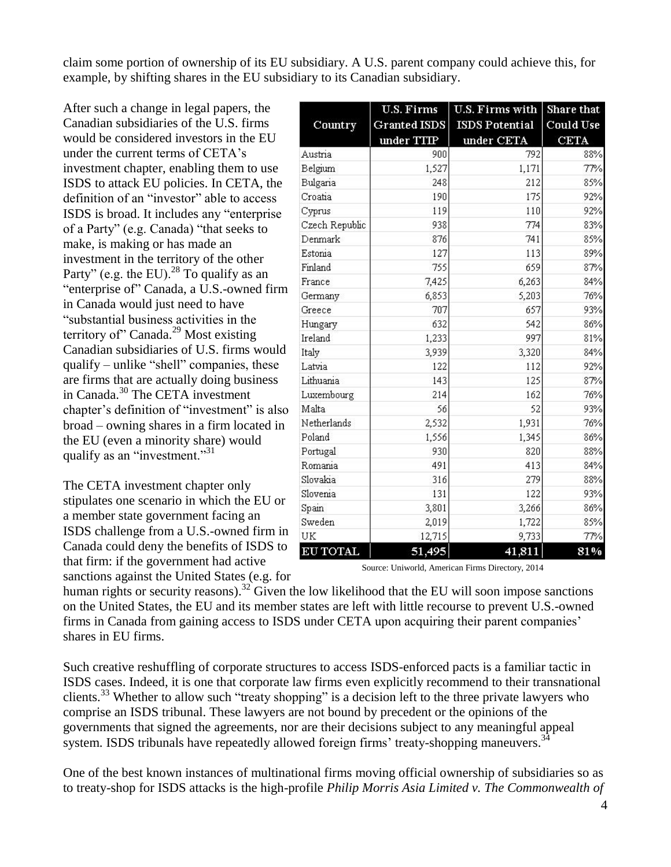claim some portion of ownership of its EU subsidiary. A U.S. parent company could achieve this, for example, by shifting shares in the EU subsidiary to its Canadian subsidiary.

After such a change in legal papers, the Canadian subsidiaries of the U.S. firms would be considered investors in the EU under the current terms of CETA's investment chapter, enabling them to use ISDS to attack EU policies. In CETA, the definition of an "investor" able to access ISDS is broad. It includes any "enterprise of a Party" (e.g. Canada) "that seeks to make, is making or has made an investment in the territory of the other Party" (e.g. the EU).<sup>28</sup> To qualify as an "enterprise of" Canada, a U.S.-owned firm in Canada would just need to have "substantial business activities in the territory of" Canada.<sup>29</sup> Most existing Canadian subsidiaries of U.S. firms would qualify – unlike "shell" companies, these are firms that are actually doing business in Canada.<sup>30</sup> The CETA investment chapter's definition of "investment" is also broad – owning shares in a firm located in the EU (even a minority share) would qualify as an "investment."<sup>31</sup>

The CETA investment chapter only stipulates one scenario in which the EU or a member state government facing an ISDS challenge from a U.S.-owned firm in Canada could deny the benefits of ISDS to that firm: if the government had active sanctions against the United States (e.g. for

|                 | <b>U.S. Firms</b>   | <b>U.S. Firms with</b> | Share that       |
|-----------------|---------------------|------------------------|------------------|
| Country         | <b>Granted ISDS</b> | <b>ISDS Potential</b>  | <b>Could Use</b> |
|                 | under TTIP          | under CETA             | <b>CETA</b>      |
| Austria         | 900                 | 792                    | 88%              |
| Belgium         | 1,527               | 1,171                  | 77%              |
| Bulgaria        | 248                 | 212                    | 85%              |
| Croatia         | 190                 | 175                    | 92%              |
| Cyprus          | 119                 | 110                    | 92%              |
| Czech Republic  | 938                 | 774                    | 83%              |
| Denmark         | 876                 | 741                    | 85%              |
| Estonia         | 127                 | 113                    | 89%              |
| Finland         | 755                 | 659                    | 87%              |
| France          | 7,425               | 6,263                  | 84%              |
| Germany         | 6,853               | 5,203                  | 76%              |
| Greece          | 707                 | 657                    | 93%              |
| Hungary         | 632                 | 542                    | 86%              |
| Ireland         | 1,233               | 997                    | 81%              |
| Italy           | 3,939               | 3,320                  | 84%              |
| Latvia          | 122                 | 112                    | 92%              |
| Lithuania       | 143                 | 125                    | 87%              |
| Luxembourg      | 214                 | 162                    | 76%              |
| Malta           | 56                  | 52                     | 93%              |
| Netherlands     | 2,532               | 1,931                  | 76%              |
| Poland          | 1,556               | 1,345                  | 86%              |
| Portugal        | 930                 | 820                    | 88%              |
| Romania         | 491                 | 413                    | 84%              |
| Slovakia        | 316                 | 279                    | 88%              |
| Slovenia        | 131                 | 122                    | 93%              |
| Spain           | 3,801               | 3,266                  | 86%              |
| Sweden          | 2,019               | 1,722                  | 85%              |
| UK              | 12,715              | 9,733                  | 77%              |
| <b>EU TOTAL</b> | 51,495              | 41,811                 | 81%              |

Source: Uniworld, American Firms Directory, 2014

human rights or security reasons).<sup>32</sup> Given the low likelihood that the EU will soon impose sanctions on the United States, the EU and its member states are left with little recourse to prevent U.S.-owned firms in Canada from gaining access to ISDS under CETA upon acquiring their parent companies' shares in EU firms.

Such creative reshuffling of corporate structures to access ISDS-enforced pacts is a familiar tactic in ISDS cases. Indeed, it is one that corporate law firms even explicitly recommend to their transnational clients.<sup>33</sup> Whether to allow such "treaty shopping" is a decision left to the three private lawyers who comprise an ISDS tribunal. These lawyers are not bound by precedent or the opinions of the governments that signed the agreements, nor are their decisions subject to any meaningful appeal system. ISDS tribunals have repeatedly allowed foreign firms' treaty-shopping maneuvers.<sup>34</sup>

One of the best known instances of multinational firms moving official ownership of subsidiaries so as to treaty-shop for ISDS attacks is the high-profile *Philip Morris Asia Limited v. The Commonwealth of*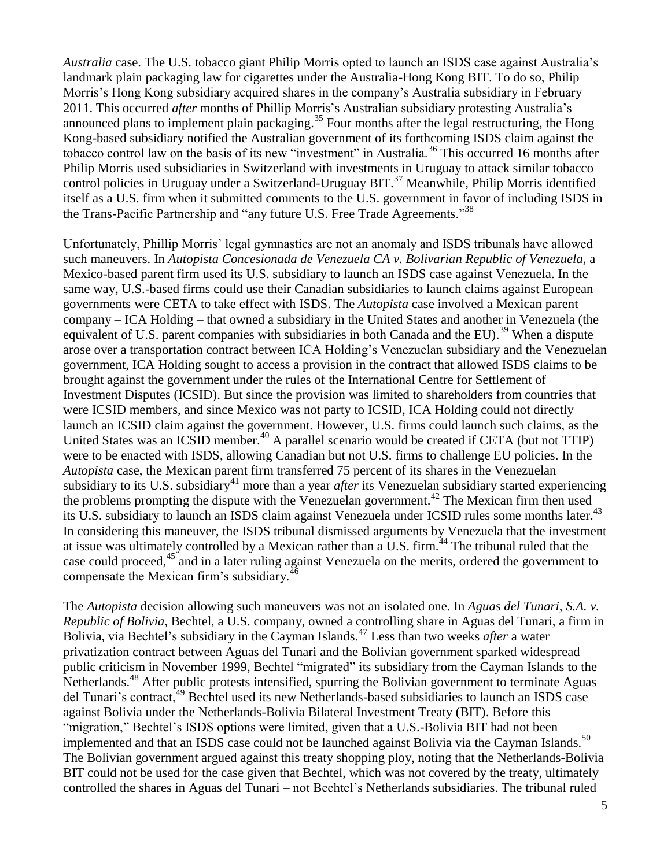*Australia* case. The U.S. tobacco giant Philip Morris opted to launch an ISDS case against Australia's landmark plain packaging law for cigarettes under the Australia-Hong Kong BIT. To do so, Philip Morris's Hong Kong subsidiary acquired shares in the company's Australia subsidiary in February 2011. This occurred *after* months of Phillip Morris's Australian subsidiary protesting Australia's announced plans to implement plain packaging.<sup>35</sup> Four months after the legal restructuring, the Hong Kong-based subsidiary notified the Australian government of its forthcoming ISDS claim against the tobacco control law on the basis of its new "investment" in Australia.<sup>36</sup> This occurred 16 months after Philip Morris used subsidiaries in Switzerland with investments in Uruguay to attack similar tobacco control policies in Uruguay under a Switzerland-Uruguay BIT.<sup>37</sup> Meanwhile, Philip Morris identified itself as a U.S. firm when it submitted comments to the U.S. government in favor of including ISDS in the Trans-Pacific Partnership and "any future U.S. Free Trade Agreements."<sup>38</sup>

Unfortunately, Phillip Morris' legal gymnastics are not an anomaly and ISDS tribunals have allowed such maneuvers. In *Autopista Concesionada de Venezuela CA v. Bolivarian Republic of Venezuela*, a Mexico-based parent firm used its U.S. subsidiary to launch an ISDS case against Venezuela. In the same way, U.S.-based firms could use their Canadian subsidiaries to launch claims against European governments were CETA to take effect with ISDS. The *Autopista* case involved a Mexican parent company – ICA Holding – that owned a subsidiary in the United States and another in Venezuela (the equivalent of U.S. parent companies with subsidiaries in both Canada and the EU).<sup>39</sup> When a dispute arose over a transportation contract between ICA Holding's Venezuelan subsidiary and the Venezuelan government, ICA Holding sought to access a provision in the contract that allowed ISDS claims to be brought against the government under the rules of the International Centre for Settlement of Investment Disputes (ICSID). But since the provision was limited to shareholders from countries that were ICSID members, and since Mexico was not party to ICSID, ICA Holding could not directly launch an ICSID claim against the government. However, U.S. firms could launch such claims, as the United States was an ICSID member.<sup>40</sup> A parallel scenario would be created if CETA (but not TTIP) were to be enacted with ISDS, allowing Canadian but not U.S. firms to challenge EU policies. In the *Autopista* case, the Mexican parent firm transferred 75 percent of its shares in the Venezuelan subsidiary to its U.S. subsidiary<sup>41</sup> more than a year *after* its Venezuelan subsidiary started experiencing the problems prompting the dispute with the Venezuelan government. <sup>42</sup> The Mexican firm then used its U.S. subsidiary to launch an ISDS claim against Venezuela under ICSID rules some months later.<sup>43</sup> In considering this maneuver, the ISDS tribunal dismissed arguments by Venezuela that the investment at issue was ultimately controlled by a Mexican rather than a U.S. firm.<sup>44</sup> The tribunal ruled that the case could proceed,<sup>45</sup> and in a later ruling against Venezuela on the merits, ordered the government to compensate the Mexican firm's subsidiary.<sup>46</sup>

The *Autopista* decision allowing such maneuvers was not an isolated one. In *Aguas del Tunari, S.A. v. Republic of Bolivia*, Bechtel, a U.S. company, owned a controlling share in Aguas del Tunari, a firm in Bolivia, via Bechtel's subsidiary in the Cayman Islands.<sup>47</sup> Less than two weeks *after* a water privatization contract between Aguas del Tunari and the Bolivian government sparked widespread public criticism in November 1999, Bechtel "migrated" its subsidiary from the Cayman Islands to the Netherlands.<sup>48</sup> After public protests intensified, spurring the Bolivian government to terminate Aguas del Tunari's contract,<sup>49</sup> Bechtel used its new Netherlands-based subsidiaries to launch an ISDS case against Bolivia under the Netherlands-Bolivia Bilateral Investment Treaty (BIT). Before this "migration," Bechtel's ISDS options were limited, given that a U.S.-Bolivia BIT had not been implemented and that an ISDS case could not be launched against Bolivia via the Cayman Islands.<sup>50</sup> The Bolivian government argued against this treaty shopping ploy, noting that the Netherlands-Bolivia BIT could not be used for the case given that Bechtel, which was not covered by the treaty, ultimately controlled the shares in Aguas del Tunari – not Bechtel's Netherlands subsidiaries. The tribunal ruled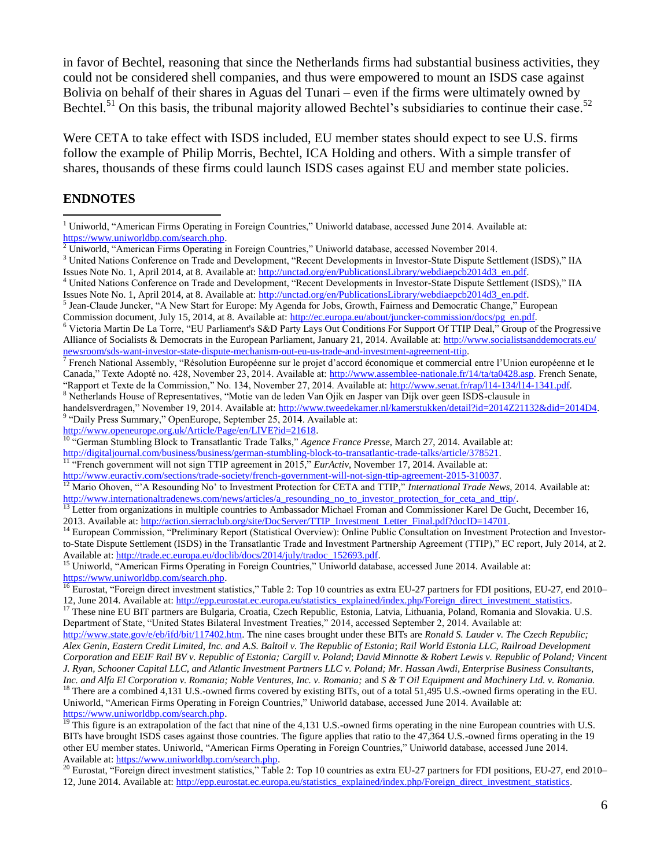in favor of Bechtel, reasoning that since the Netherlands firms had substantial business activities, they could not be considered shell companies, and thus were empowered to mount an ISDS case against Bolivia on behalf of their shares in Aguas del Tunari – even if the firms were ultimately owned by Bechtel.<sup>51</sup> On this basis, the tribunal majority allowed Bechtel's subsidiaries to continue their case.<sup>52</sup>

Were CETA to take effect with ISDS included, EU member states should expect to see U.S. firms follow the example of Philip Morris, Bechtel, ICA Holding and others. With a simple transfer of shares, thousands of these firms could launch ISDS cases against EU and member state policies.

### **ENDNOTES**

 $\overline{a}$ 

Issues Note No. 1, April 2014, at 8. Available at: **http://unctad.org/en/PublicationsLibrary/webdiaepcb2014d3\_en.pdf**.<br><sup>5</sup> Jean-Claude Juncker, "A New Start for Europe: My Agenda for Jobs, Growth, Fairness and Democratic C Commission document, July 15, 2014, at 8. Available at: [http://ec.europa.eu/about/juncker-commission/docs/pg\\_en.pdf.](http://ec.europa.eu/about/juncker-commission/docs/pg_en.pdf)

<sup>6</sup> Victoria Martin De La Torre, "EU Parliament's S&D Party Lays Out Conditions For Support Of TTIP Deal," Group of the Progressive Alliance of Socialists & Democrats in the European Parliament, January 21, 2014. Available at[: http://www.socialistsanddemocrats.eu/](http://www.socialistsanddemocrats.eu/newsroom/sds-want-investor-state-dispute-mechanism-out-eu-us-trade-and-investment-agreement-ttip) [newsroom/sds-want-investor-state-dispute-mechanism-out-eu-us-trade-and-investment-agreement-ttip.](http://www.socialistsanddemocrats.eu/newsroom/sds-want-investor-state-dispute-mechanism-out-eu-us-trade-and-investment-agreement-ttip)

[http://www.openeurope.org.uk/Article/Page/en/LIVE?id=21618.](http://www.openeurope.org.uk/Article/Page/en/LIVE?id=21618) 

<sup>10</sup> "German Stumbling Block to Transatlantic Trade Talks," *Agence France Presse*, March 27, 2014. Available at:

<sup>&</sup>lt;sup>1</sup> Uniworld, "American Firms Operating in Foreign Countries," Uniworld database, accessed June 2014. Available at: [https://www.uniworldbp.com/search.php.](https://www.uniworldbp.com/search.php)

<sup>2</sup> Uniworld, "American Firms Operating in Foreign Countries," Uniworld database, accessed November 2014.

<sup>&</sup>lt;sup>3</sup> United Nations Conference on Trade and Development, "Recent Developments in Investor-State Dispute Settlement (ISDS)," IIA Issues Note No. 1, April 2014, at 8. Available at: [http://unctad.org/en/PublicationsLibrary/webdiaepcb2014d3\\_en.pdf.](http://unctad.org/en/PublicationsLibrary/webdiaepcb2014d3_en.pdf) 

<sup>&</sup>lt;sup>4</sup> United Nations Conference on Trade and Development, "Recent Developments in Investor-State Dispute Settlement (ISDS)," IIA

 $^7$  French National Assembly, "Résolution Européenne sur le projet d'accord économique et commercial entre l'Union européenne et le Canada," Texte Adopté no. 428, November 23, 2014. Available at: [http://www.assemblee-nationale.fr/14/ta/ta0428.asp.](http://www.assemblee-nationale.fr/14/ta/ta0428.asp) French Senate, "Rapport et Texte de la Commission," No. 134, November 27, 2014. Available at: [http://www.senat.fr/rap/l14-134/l14-1341.pdf.](http://www.senat.fr/rap/l14-134/l14-1341.pdf)

<sup>8</sup> Netherlands House of Representatives, "Motie van de leden Van Ojik en Jasper van Dijk over geen ISDS-clausule in handelsverdragen," November 19, 2014. Available at: [http://www.tweedekamer.nl/kamerstukken/detail?id=2014Z21132&did=2014D4.](http://www.tweedekamer.nl/kamerstukken/detail?id=2014Z21132&did=2014D4) <sup>9</sup> "Daily Press Summary," OpenEurope, September 25, 2014. Available at:

[http://digitaljournal.com/business/business/german-stumbling-block-to-transatlantic-trade-talks/article/378521.](http://digitaljournal.com/business/business/german-stumbling-block-to-transatlantic-trade-talks/article/378521) 

<sup>&</sup>lt;sup>11 "</sup>French government will not sign TTIP agreement in 2015," *EurActiv*, November 17, 2014. Available at:

[http://www.euractiv.com/sections/trade-society/french-government-will-not-sign-ttip-agreement-2015-310037.](http://www.euractiv.com/sections/trade-society/french-government-will-not-sign-ttip-agreement-2015-310037)  <sup>12</sup> Mario Ohoven, "'A Resounding No' to Investment Protection for CETA and TTIP," *International Trade News*, 2014. Available at: [http://www.internationaltradenews.com/news/articles/a\\_resounding\\_no\\_to\\_investor\\_protection\\_for\\_ceta\\_and\\_ttip/.](http://www.internationaltradenews.com/news/articles/a_resounding_no_to_investor_protection_for_ceta_and_ttip/)

<sup>&</sup>lt;sup>13</sup> Letter from organizations in multiple countries to Ambassador Michael Froman and Commissioner Karel De Gucht, December 16, 2013. Available at: http://action.sierraclub.org/site/DocServer/TTIP\_Investment\_Letter\_Final.pdf?docID=14701.

<sup>&</sup>lt;sup>14</sup> European Commission, "Preliminary Report (Statistical Overview): Online Public Consultation on Investment Protection and Investorto-State Dispute Settlement (ISDS) in the Transatlantic Trade and Investment Partnership Agreement (TTIP)," EC report, July 2014, at 2. Available at: [http://trade.ec.europa.eu/doclib/docs/2014/july/tradoc\\_152693.pdf.](http://trade.ec.europa.eu/doclib/docs/2014/july/tradoc_152693.pdf)

<sup>&</sup>lt;sup>15</sup> Uniworld, "American Firms Operating in Foreign Countries," Uniworld database, accessed June 2014. Available at: [https://www.uniworldbp.com/search.php.](https://www.uniworldbp.com/search.php)

<sup>&</sup>lt;sup>16</sup> Eurostat, "Foreign direct investment statistics," Table 2: Top 10 countries as extra EU-27 partners for FDI positions, EU-27, end 2010– 12, June 2014. Available at: [http://epp.eurostat.ec.europa.eu/statistics\\_explained/index.php/Foreign\\_direct\\_investment\\_statistics.](http://epp.eurostat.ec.europa.eu/statistics_explained/index.php/Foreign_direct_investment_statistics)

<sup>&</sup>lt;sup>17</sup> These nine EU BIT partners are Bulgaria, Croatia, Czech Republic, Estonia, Latvia, Lithuania, Poland, Romania and Slovakia. U.S. Department of State, "United States Bilateral Investment Treaties," 2014, accessed September 2, 2014. Available at:

[http://www.state.gov/e/eb/ifd/bit/117402.htm.](http://www.state.gov/e/eb/ifd/bit/117402.htm) The nine cases brought under these BITs are *Ronald S. Lauder v. The Czech Republic; Alex Genin, Eastern Credit Limited, Inc. and A.S. Baltoil v. The Republic of Estonia*; *Rail World Estonia LLC, Railroad Development Corporation and EEIF Rail BV v. Republic of Estonia; Cargill v. Poland*; *David Minnotte & Robert Lewis v. Republic of Poland; Vincent J. Ryan, Schooner Capital LLC, and Atlantic Investment Partners LLC v. Poland; Mr. Hassan Awdi, Enterprise Business Consultants, Inc. and Alfa El Corporation v. Romania; Noble Ventures, Inc. v. Romania;* and *S & T Oil Equipment and Machinery Ltd. v. Romania.*  $^{18}$  There are a combined 4,131 U.S.-owned firms covered by existing BITs, out of a total 51,495 U.S.-owned firms operating in the EU. Uniworld, "American Firms Operating in Foreign Countries," Uniworld database, accessed June 2014. Available at: [https://www.uniworldbp.com/search.php.](https://www.uniworldbp.com/search.php)

 $\frac{19}{19}$  This figure is an extrapolation of the fact that nine of the 4,131 U.S.-owned firms operating in the nine European countries with U.S. BITs have brought ISDS cases against those countries. The figure applies that ratio to the 47,364 U.S.-owned firms operating in the 19 other EU member states. Uniworld, "American Firms Operating in Foreign Countries," Uniworld database, accessed June 2014. Available at: [https://www.uniworldbp.com/search.php.](https://www.uniworldbp.com/search.php)

<sup>&</sup>lt;sup>20</sup> Eurostat, "Foreign direct investment statistics," Table 2: Top 10 countries as extra EU-27 partners for FDI positions, EU-27, end 2010– 12, June 2014. Available at: [http://epp.eurostat.ec.europa.eu/statistics\\_explained/index.php/Foreign\\_direct\\_investment\\_statistics.](http://epp.eurostat.ec.europa.eu/statistics_explained/index.php/Foreign_direct_investment_statistics)